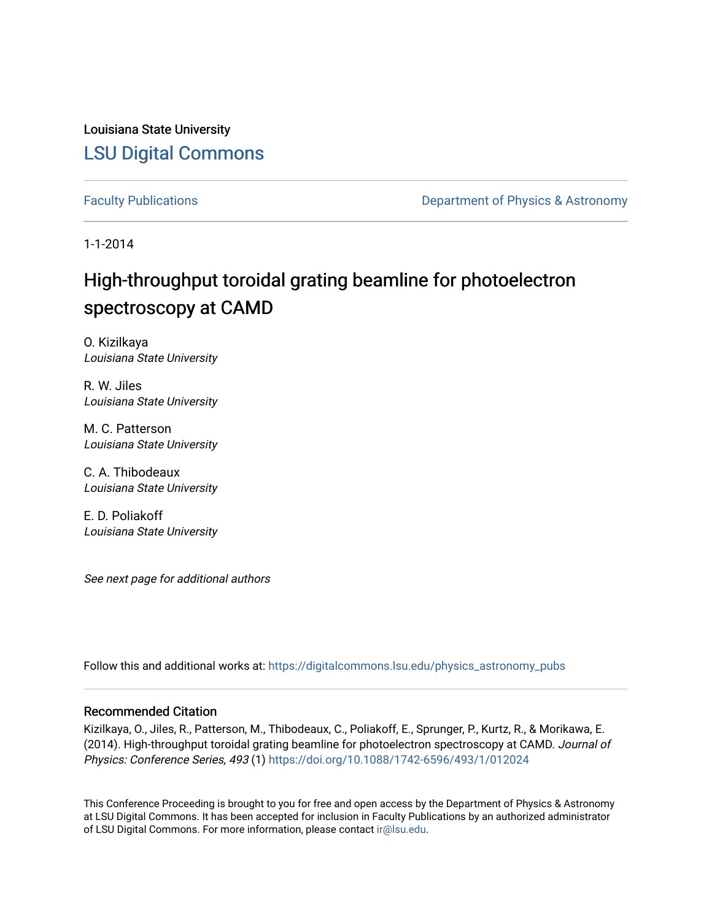Louisiana State University [LSU Digital Commons](https://digitalcommons.lsu.edu/)

[Faculty Publications](https://digitalcommons.lsu.edu/physics_astronomy_pubs) **Exercise 2 and Table 2 and Table 2 and Table 2 and Table 2 and Table 2 and Table 2 and Table 2 and Table 2 and Table 2 and Table 2 and Table 2 and Table 2 and Table 2 and Table 2 and Table 2 and Table** 

1-1-2014

# High-throughput toroidal grating beamline for photoelectron spectroscopy at CAMD

O. Kizilkaya Louisiana State University

R. W. Jiles Louisiana State University

M. C. Patterson Louisiana State University

C. A. Thibodeaux Louisiana State University

E. D. Poliakoff Louisiana State University

See next page for additional authors

Follow this and additional works at: [https://digitalcommons.lsu.edu/physics\\_astronomy\\_pubs](https://digitalcommons.lsu.edu/physics_astronomy_pubs?utm_source=digitalcommons.lsu.edu%2Fphysics_astronomy_pubs%2F2696&utm_medium=PDF&utm_campaign=PDFCoverPages) 

### Recommended Citation

Kizilkaya, O., Jiles, R., Patterson, M., Thibodeaux, C., Poliakoff, E., Sprunger, P., Kurtz, R., & Morikawa, E. (2014). High-throughput toroidal grating beamline for photoelectron spectroscopy at CAMD. Journal of Physics: Conference Series, 493 (1)<https://doi.org/10.1088/1742-6596/493/1/012024>

This Conference Proceeding is brought to you for free and open access by the Department of Physics & Astronomy at LSU Digital Commons. It has been accepted for inclusion in Faculty Publications by an authorized administrator of LSU Digital Commons. For more information, please contact [ir@lsu.edu](mailto:ir@lsu.edu).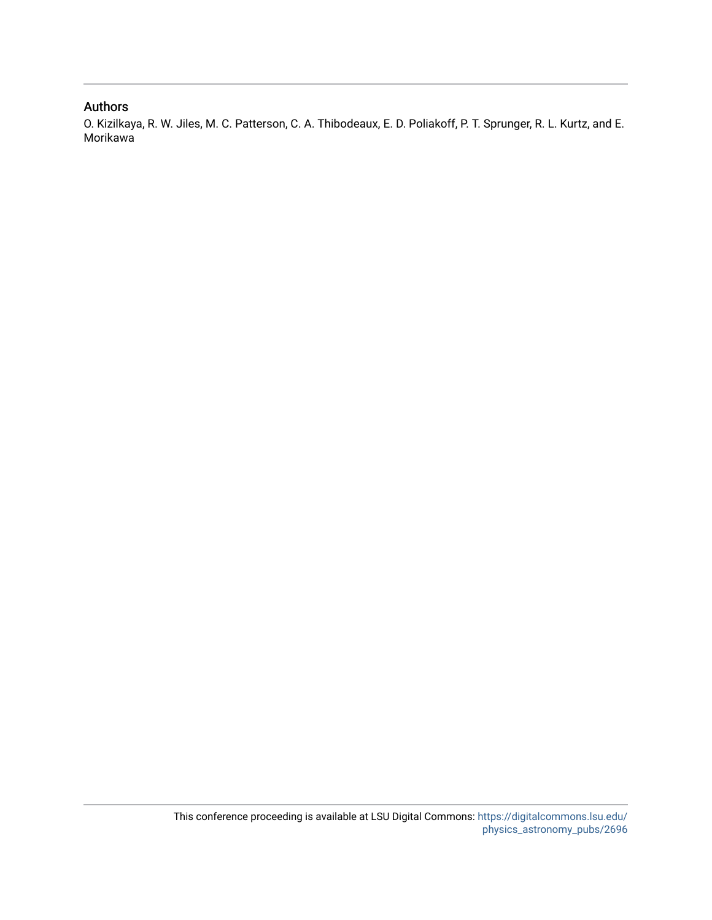### Authors

O. Kizilkaya, R. W. Jiles, M. C. Patterson, C. A. Thibodeaux, E. D. Poliakoff, P. T. Sprunger, R. L. Kurtz, and E. Morikawa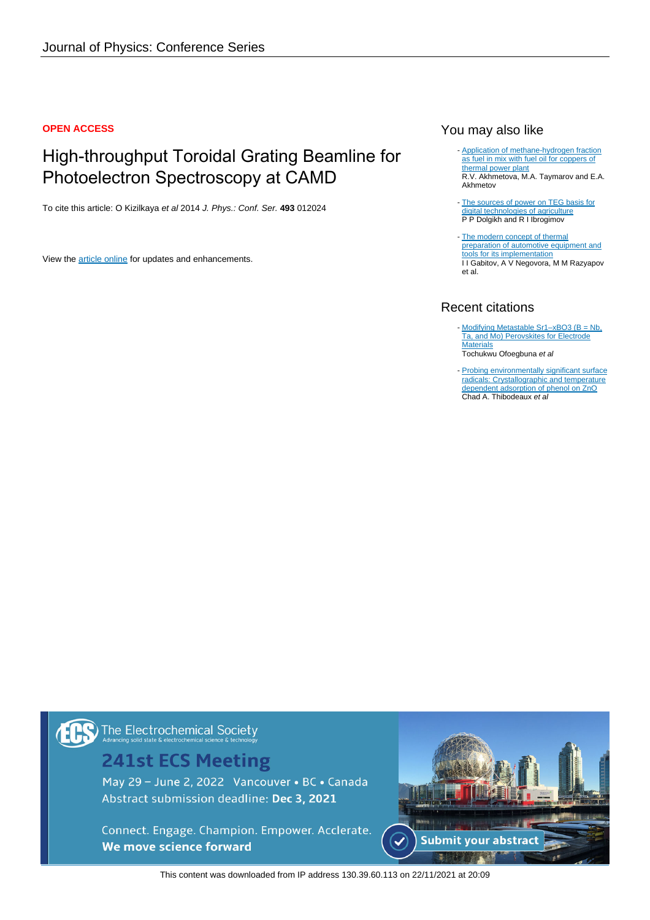### **OPEN ACCESS**

# High-throughput Toroidal Grating Beamline for Photoelectron Spectroscopy at CAMD

To cite this article: O Kizilkaya et al 2014 J. Phys.: Conf. Ser. **493** 012024

View the [article online](https://doi.org/10.1088/1742-6596/493/1/012024) for updates and enhancements.

### You may also like

- [Application of methane-hydrogen fraction](/article/10.1088/1755-1315/288/1/012075) [as fuel in mix with fuel oil for coppers of](/article/10.1088/1755-1315/288/1/012075) [thermal power plant](/article/10.1088/1755-1315/288/1/012075) R.V. Akhmetova, M.A. Taymarov and E.A. Akhmetov
- [The sources of power on TEG basis for](/article/10.1088/1755-1315/421/4/042011) [digital technologies of agriculture](/article/10.1088/1755-1315/421/4/042011) P P Dolgikh and R I Ibrogimov
- [The modern concept of thermal](/article/10.1088/1757-899X/632/1/012048) [preparation of automotive equipment and](/article/10.1088/1757-899X/632/1/012048) [tools for its implementation](/article/10.1088/1757-899X/632/1/012048) I I Gabitov, A V Negovora, M M Razyapov et al.

### Recent citations

- Modifying Metastable Sr1-xBO3 (B = Nb, [Ta, and Mo\) Perovskites for Electrode](https://doi.org/10.1021/acsami.1c05743) **[Materials](https://doi.org/10.1021/acsami.1c05743)** Tochukwu Ofoegbuna et al
- [Probing environmentally significant surface](https://doi.org/10.1016/j.cplett.2015.08.026) [radicals: Crystallographic and temperature](https://doi.org/10.1016/j.cplett.2015.08.026) [dependent adsorption of phenol on ZnO](https://doi.org/10.1016/j.cplett.2015.08.026) Chad A. Thibodeaux et al

# The Electrochemical Society

## **241st ECS Meeting**

May 29 - June 2, 2022 Vancouver • BC • Canada Abstract submission deadline: Dec 3, 2021

Connect. Engage. Champion. Empower. Acclerate. We move science forward



This content was downloaded from IP address 130.39.60.113 on 22/11/2021 at 20:09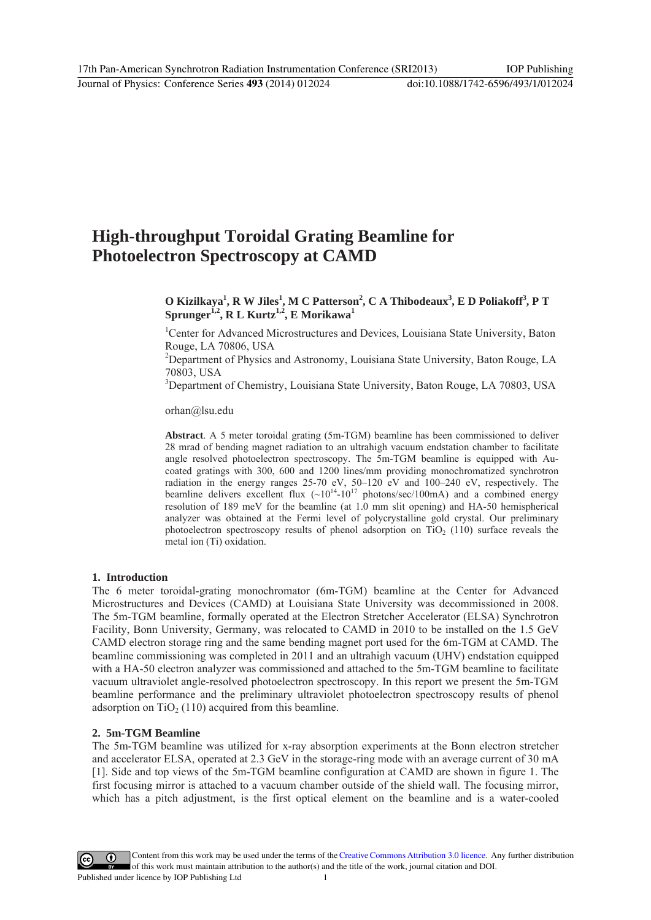### **High-throughput Toroidal Grating Beamline for Photoelectron Spectroscopy at CAMD**

**O Kizilkaya1 , R W Jiles<sup>1</sup> , M C Patterson<sup>2</sup> , C A Thibodeaux<sup>3</sup> , E D Poliakoff3 , P T**   ${\rm Sprunger}^{\text{i,2}}, {\rm \bf R}\text{ }\rm L\text{ }\rm Kurtz^{1,2}, {\rm \bf E}\text{ }\rm Morikawa^{1}$ 

<sup>1</sup>Center for Advanced Microstructures and Devices, Louisiana State University, Baton Rouge, LA 70806, USA

<sup>2</sup>Department of Physics and Astronomy, Louisiana State University, Baton Rouge, LA 70803, USA

<sup>3</sup>Department of Chemistry, Louisiana State University, Baton Rouge, LA 70803, USA

orhan@lsu.edu

**Abstract**. A 5 meter toroidal grating (5m-TGM) beamline has been commissioned to deliver 28 mrad of bending magnet radiation to an ultrahigh vacuum endstation chamber to facilitate angle resolved photoelectron spectroscopy. The 5m-TGM beamline is equipped with Aucoated gratings with 300, 600 and 1200 lines/mm providing monochromatized synchrotron radiation in the energy ranges 25-70 eV, 50–120 eV and 100–240 eV, respectively. The beamline delivers excellent flux  $({\sim}10^{14}-10^{17}$  photons/sec/100mA) and a combined energy resolution of 189 meV for the beamline (at 1.0 mm slit opening) and HA-50 hemispherical analyzer was obtained at the Fermi level of polycrystalline gold crystal. Our preliminary photoelectron spectroscopy results of phenol adsorption on  $TiO<sub>2</sub>$  (110) surface reveals the metal ion (Ti) oxidation.

### **1. Introduction**

The 6 meter toroidal-grating monochromator (6m-TGM) beamline at the Center for Advanced Microstructures and Devices (CAMD) at Louisiana State University was decommissioned in 2008. The 5m-TGM beamline, formally operated at the Electron Stretcher Accelerator (ELSA) Synchrotron Facility, Bonn University, Germany, was relocated to CAMD in 2010 to be installed on the 1.5 GeV CAMD electron storage ring and the same bending magnet port used for the 6m-TGM at CAMD. The beamline commissioning was completed in 2011 and an ultrahigh vacuum (UHV) endstation equipped with a HA-50 electron analyzer was commissioned and attached to the 5m-TGM beamline to facilitate vacuum ultraviolet angle-resolved photoelectron spectroscopy. In this report we present the 5m-TGM beamline performance and the preliminary ultraviolet photoelectron spectroscopy results of phenol adsorption on  $TiO<sub>2</sub>$  (110) acquired from this beamline.

#### **2. 5m-TGM Beamline**

The 5m-TGM beamline was utilized for x-ray absorption experiments at the Bonn electron stretcher and accelerator ELSA, operated at 2.3 GeV in the storage-ring mode with an average current of 30 mA [1]. Side and top views of the 5m-TGM beamline configuration at CAMD are shown in figure 1. The first focusing mirror is attached to a vacuum chamber outside of the shield wall. The focusing mirror, which has a pitch adjustment, is the first optical element on the beamline and is a water-cooled

Content from this work may be used under the terms of theCreative Commons Attribution 3.0 licence. Any further distribution  $(cc)$ of this work must maintain attribution to the author(s) and the title of the work, journal citation and DOI.

Published under licence by IOP Publishing Ltd 1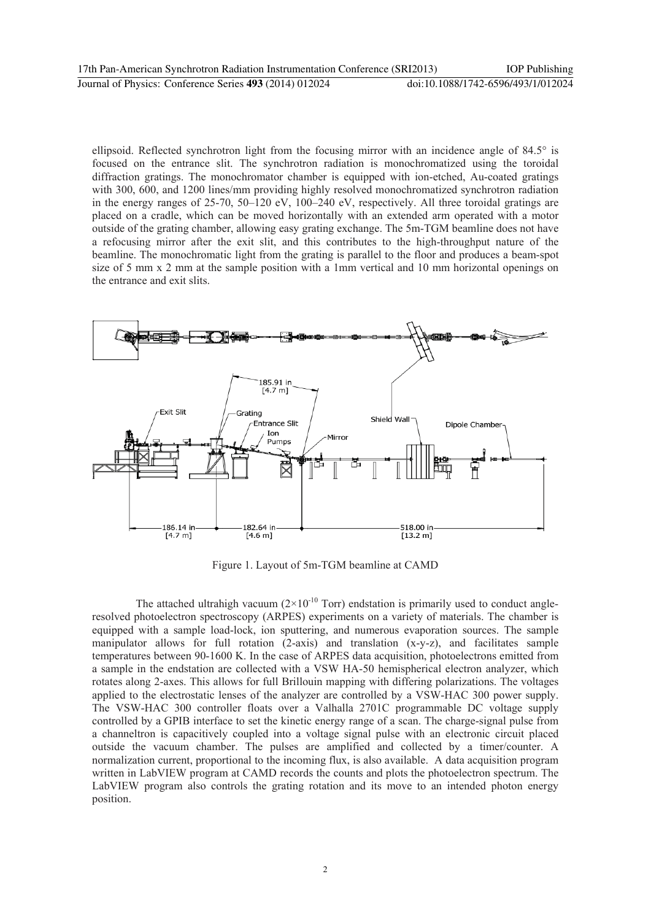ellipsoid. Reflected synchrotron light from the focusing mirror with an incidence angle of 84.5° is focused on the entrance slit. The synchrotron radiation is monochromatized using the toroidal diffraction gratings. The monochromator chamber is equipped with ion-etched, Au-coated gratings with 300, 600, and 1200 lines/mm providing highly resolved monochromatized synchrotron radiation in the energy ranges of 25-70, 50–120 eV, 100–240 eV, respectively. All three toroidal gratings are placed on a cradle, which can be moved horizontally with an extended arm operated with a motor outside of the grating chamber, allowing easy grating exchange. The 5m-TGM beamline does not have a refocusing mirror after the exit slit, and this contributes to the high-throughput nature of the beamline. The monochromatic light from the grating is parallel to the floor and produces a beam-spot size of 5 mm x 2 mm at the sample position with a 1mm vertical and 10 mm horizontal openings on the entrance and exit slits.



Figure 1. Layout of 5m-TGM beamline at CAMD

The attached ultrahigh vacuum  $(2\times10^{-10}$  Torr) endstation is primarily used to conduct angleresolved photoelectron spectroscopy (ARPES) experiments on a variety of materials. The chamber is equipped with a sample load-lock, ion sputtering, and numerous evaporation sources. The sample manipulator allows for full rotation (2-axis) and translation (x-y-z), and facilitates sample temperatures between 90-1600 K. In the case of ARPES data acquisition, photoelectrons emitted from a sample in the endstation are collected with a VSW HA-50 hemispherical electron analyzer, which rotates along 2-axes. This allows for full Brillouin mapping with differing polarizations. The voltages applied to the electrostatic lenses of the analyzer are controlled by a VSW-HAC 300 power supply. The VSW-HAC 300 controller floats over a Valhalla 2701C programmable DC voltage supply controlled by a GPIB interface to set the kinetic energy range of a scan. The charge-signal pulse from a channeltron is capacitively coupled into a voltage signal pulse with an electronic circuit placed outside the vacuum chamber. The pulses are amplified and collected by a timer/counter. A normalization current, proportional to the incoming flux, is also available. A data acquisition program written in LabVIEW program at CAMD records the counts and plots the photoelectron spectrum. The LabVIEW program also controls the grating rotation and its move to an intended photon energy position.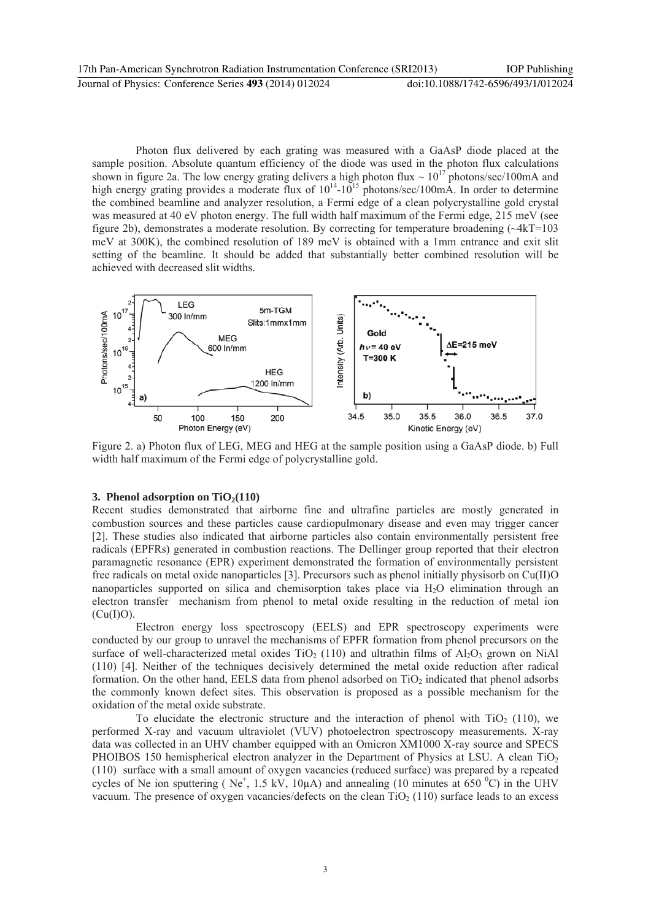Photon flux delivered by each grating was measured with a GaAsP diode placed at the sample position. Absolute quantum efficiency of the diode was used in the photon flux calculations shown in figure 2a. The low energy grating delivers a high photon flux  $\sim 10^{17}$  photons/sec/100mA and high energy grating provides a moderate flux of  $10^{14}$ - $10^{15}$  photons/sec/100mA. In order to determine the combined beamline and analyzer resolution, a Fermi edge of a clean polycrystalline gold crystal was measured at 40 eV photon energy. The full width half maximum of the Fermi edge, 215 meV (see figure 2b), demonstrates a moderate resolution. By correcting for temperature broadening (~4kT=103 meV at 300K), the combined resolution of 189 meV is obtained with a 1mm entrance and exit slit setting of the beamline. It should be added that substantially better combined resolution will be achieved with decreased slit widths.



Figure 2. a) Photon flux of LEG, MEG and HEG at the sample position using a GaAsP diode. b) Full width half maximum of the Fermi edge of polycrystalline gold.

### **3. Phenol adsorption on TiO<sub>2</sub>(110)**

Recent studies demonstrated that airborne fine and ultrafine particles are mostly generated in combustion sources and these particles cause cardiopulmonary disease and even may trigger cancer [2]. These studies also indicated that airborne particles also contain environmentally persistent free radicals (EPFRs) generated in combustion reactions. The Dellinger group reported that their electron paramagnetic resonance (EPR) experiment demonstrated the formation of environmentally persistent free radicals on metal oxide nanoparticles [3]. Precursors such as phenol initially physisorb on Cu(II)O nanoparticles supported on silica and chemisorption takes place via H2O elimination through an electron transfer mechanism from phenol to metal oxide resulting in the reduction of metal ion  $(Cu(I)O)$ .

Electron energy loss spectroscopy (EELS) and EPR spectroscopy experiments were conducted by our group to unravel the mechanisms of EPFR formation from phenol precursors on the surface of well-characterized metal oxides TiO<sub>2</sub> (110) and ultrathin films of  $A<sub>1</sub>O<sub>3</sub>$  grown on NiAl (110) [4]. Neither of the techniques decisively determined the metal oxide reduction after radical formation. On the other hand, EELS data from phenol adsorbed on  $TiO<sub>2</sub>$  indicated that phenol adsorbs the commonly known defect sites. This observation is proposed as a possible mechanism for the oxidation of the metal oxide substrate.

To elucidate the electronic structure and the interaction of phenol with  $TiO<sub>2</sub>$  (110), we performed X-ray and vacuum ultraviolet (VUV) photoelectron spectroscopy measurements. X-ray data was collected in an UHV chamber equipped with an Omicron XM1000 X-ray source and SPECS PHOIBOS 150 hemispherical electron analyzer in the Department of Physics at LSU. A clean TiO<sub>2</sub> (110) surface with a small amount of oxygen vacancies (reduced surface) was prepared by a repeated cycles of Ne ion sputtering (Ne<sup>+</sup>, 1.5 kV, 10 $\mu$ A) and annealing (10 minutes at 650 °C) in the UHV vacuum. The presence of oxygen vacancies/defects on the clean  $TiO<sub>2</sub> (110)$  surface leads to an excess